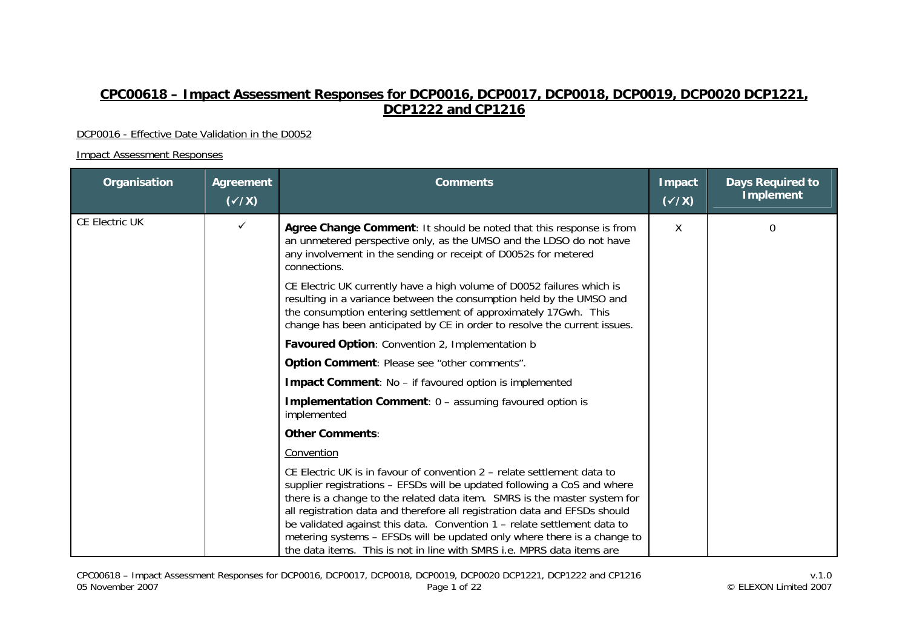# **CPC00618 – Impact Assessment Responses for DCP0016, DCP0017, DCP0018, DCP0019, DCP0020 DCP1221, DCP1222 and CP1216**

#### DCP0016 - Effective Date Validation in the D0052

| Organisation          | Agreement<br>$(\sqrt{x})$ | <b>Comments</b>                                                                                                                                                                                                                                                                                                                                                                                                                                                                                                                                  | Impact<br>$(\checkmark\chi)$ | <b>Days Required to</b><br><b>Implement</b> |
|-----------------------|---------------------------|--------------------------------------------------------------------------------------------------------------------------------------------------------------------------------------------------------------------------------------------------------------------------------------------------------------------------------------------------------------------------------------------------------------------------------------------------------------------------------------------------------------------------------------------------|------------------------------|---------------------------------------------|
| <b>CE Electric UK</b> | $\checkmark$              | Agree Change Comment: It should be noted that this response is from<br>an unmetered perspective only, as the UMSO and the LDSO do not have<br>any involvement in the sending or receipt of D0052s for metered<br>connections.                                                                                                                                                                                                                                                                                                                    | X                            | 0                                           |
|                       |                           | CE Electric UK currently have a high volume of D0052 failures which is<br>resulting in a variance between the consumption held by the UMSO and<br>the consumption entering settlement of approximately 17Gwh. This<br>change has been anticipated by CE in order to resolve the current issues.                                                                                                                                                                                                                                                  |                              |                                             |
|                       |                           | Favoured Option: Convention 2, Implementation b                                                                                                                                                                                                                                                                                                                                                                                                                                                                                                  |                              |                                             |
|                       |                           | Option Comment: Please see "other comments".                                                                                                                                                                                                                                                                                                                                                                                                                                                                                                     |                              |                                             |
|                       |                           | Impact Comment: No - if favoured option is implemented                                                                                                                                                                                                                                                                                                                                                                                                                                                                                           |                              |                                             |
|                       |                           | <b>Implementation Comment: 0 - assuming favoured option is</b><br>implemented                                                                                                                                                                                                                                                                                                                                                                                                                                                                    |                              |                                             |
|                       |                           | <b>Other Comments:</b>                                                                                                                                                                                                                                                                                                                                                                                                                                                                                                                           |                              |                                             |
|                       |                           | Convention                                                                                                                                                                                                                                                                                                                                                                                                                                                                                                                                       |                              |                                             |
|                       |                           | CE Electric UK is in favour of convention 2 – relate settlement data to<br>supplier registrations - EFSDs will be updated following a CoS and where<br>there is a change to the related data item. SMRS is the master system for<br>all registration data and therefore all registration data and EFSDs should<br>be validated against this data. Convention 1 - relate settlement data to<br>metering systems - EFSDs will be updated only where there is a change to<br>the data items. This is not in line with SMRS i.e. MPRS data items are |                              |                                             |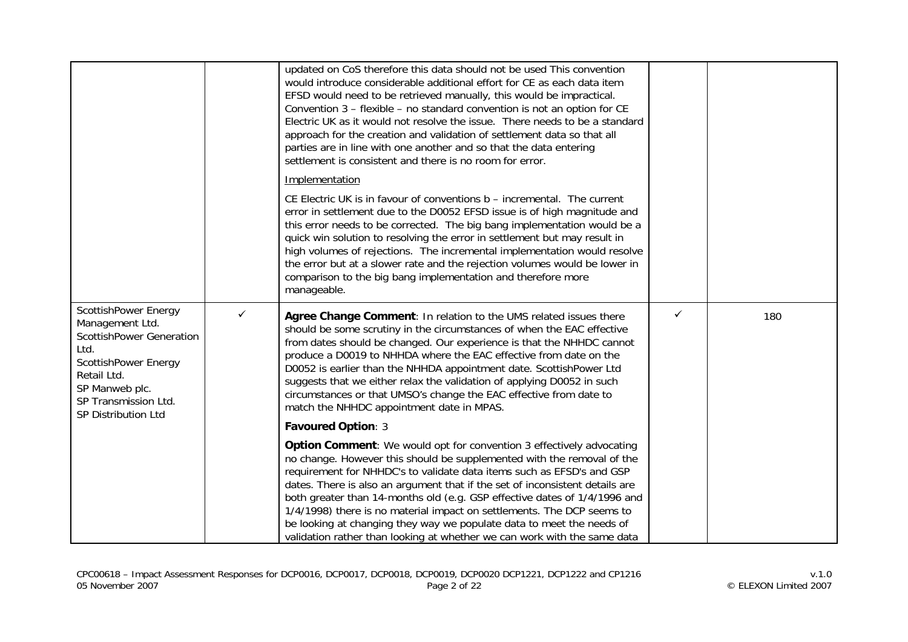|                                                                                                                                                                                            |              | updated on CoS therefore this data should not be used This convention<br>would introduce considerable additional effort for CE as each data item<br>EFSD would need to be retrieved manually, this would be impractical.<br>Convention 3 – flexible – no standard convention is not an option for CE<br>Electric UK as it would not resolve the issue. There needs to be a standard<br>approach for the creation and validation of settlement data so that all<br>parties are in line with one another and so that the data entering<br>settlement is consistent and there is no room for error.                    |   |     |
|--------------------------------------------------------------------------------------------------------------------------------------------------------------------------------------------|--------------|---------------------------------------------------------------------------------------------------------------------------------------------------------------------------------------------------------------------------------------------------------------------------------------------------------------------------------------------------------------------------------------------------------------------------------------------------------------------------------------------------------------------------------------------------------------------------------------------------------------------|---|-----|
|                                                                                                                                                                                            |              | Implementation<br>CE Electric UK is in favour of conventions b - incremental. The current<br>error in settlement due to the D0052 EFSD issue is of high magnitude and<br>this error needs to be corrected. The big bang implementation would be a<br>quick win solution to resolving the error in settlement but may result in<br>high volumes of rejections. The incremental implementation would resolve<br>the error but at a slower rate and the rejection volumes would be lower in                                                                                                                            |   |     |
|                                                                                                                                                                                            |              | comparison to the big bang implementation and therefore more<br>manageable.                                                                                                                                                                                                                                                                                                                                                                                                                                                                                                                                         |   |     |
| ScottishPower Energy<br>Management Ltd.<br><b>ScottishPower Generation</b><br>Ltd.<br>ScottishPower Energy<br>Retail Ltd.<br>SP Manweb plc.<br>SP Transmission Ltd.<br>SP Distribution Ltd | $\checkmark$ | Agree Change Comment: In relation to the UMS related issues there<br>should be some scrutiny in the circumstances of when the EAC effective<br>from dates should be changed. Our experience is that the NHHDC cannot<br>produce a D0019 to NHHDA where the EAC effective from date on the<br>D0052 is earlier than the NHHDA appointment date. ScottishPower Ltd<br>suggests that we either relax the validation of applying D0052 in such<br>circumstances or that UMSO's change the EAC effective from date to<br>match the NHHDC appointment date in MPAS.                                                       | ✓ | 180 |
|                                                                                                                                                                                            |              | <b>Favoured Option: 3</b>                                                                                                                                                                                                                                                                                                                                                                                                                                                                                                                                                                                           |   |     |
|                                                                                                                                                                                            |              | Option Comment: We would opt for convention 3 effectively advocating<br>no change. However this should be supplemented with the removal of the<br>requirement for NHHDC's to validate data items such as EFSD's and GSP<br>dates. There is also an argument that if the set of inconsistent details are<br>both greater than 14-months old (e.g. GSP effective dates of 1/4/1996 and<br>1/4/1998) there is no material impact on settlements. The DCP seems to<br>be looking at changing they way we populate data to meet the needs of<br>validation rather than looking at whether we can work with the same data |   |     |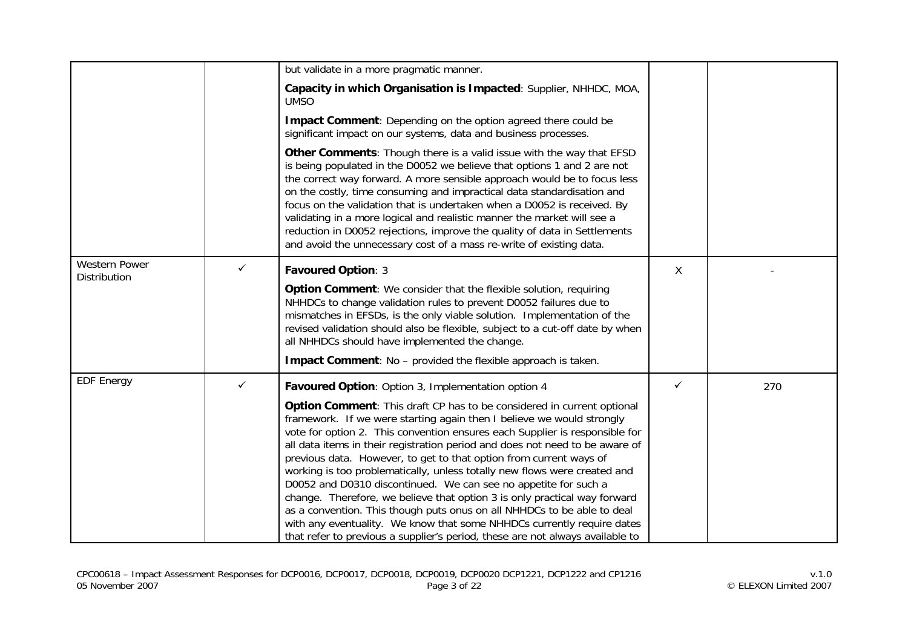|                                      |   | but validate in a more pragmatic manner.                                                                                                                                                                                                                                                                                                                                                                                                                                                                                                                                                                                                                                                                                                                                                                                                                |   |     |
|--------------------------------------|---|---------------------------------------------------------------------------------------------------------------------------------------------------------------------------------------------------------------------------------------------------------------------------------------------------------------------------------------------------------------------------------------------------------------------------------------------------------------------------------------------------------------------------------------------------------------------------------------------------------------------------------------------------------------------------------------------------------------------------------------------------------------------------------------------------------------------------------------------------------|---|-----|
|                                      |   | Capacity in which Organisation is Impacted: Supplier, NHHDC, MOA,<br><b>UMSO</b>                                                                                                                                                                                                                                                                                                                                                                                                                                                                                                                                                                                                                                                                                                                                                                        |   |     |
|                                      |   | Impact Comment: Depending on the option agreed there could be<br>significant impact on our systems, data and business processes.                                                                                                                                                                                                                                                                                                                                                                                                                                                                                                                                                                                                                                                                                                                        |   |     |
|                                      |   | Other Comments: Though there is a valid issue with the way that EFSD<br>is being populated in the D0052 we believe that options 1 and 2 are not<br>the correct way forward. A more sensible approach would be to focus less<br>on the costly, time consuming and impractical data standardisation and<br>focus on the validation that is undertaken when a D0052 is received. By<br>validating in a more logical and realistic manner the market will see a<br>reduction in D0052 rejections, improve the quality of data in Settlements<br>and avoid the unnecessary cost of a mass re-write of existing data.                                                                                                                                                                                                                                         |   |     |
| <b>Western Power</b><br>Distribution | ✓ | Favoured Option: 3                                                                                                                                                                                                                                                                                                                                                                                                                                                                                                                                                                                                                                                                                                                                                                                                                                      | X |     |
|                                      |   | Option Comment: We consider that the flexible solution, requiring<br>NHHDCs to change validation rules to prevent D0052 failures due to<br>mismatches in EFSDs, is the only viable solution. Implementation of the<br>revised validation should also be flexible, subject to a cut-off date by when<br>all NHHDCs should have implemented the change.                                                                                                                                                                                                                                                                                                                                                                                                                                                                                                   |   |     |
|                                      |   | <b>Impact Comment:</b> No - provided the flexible approach is taken.                                                                                                                                                                                                                                                                                                                                                                                                                                                                                                                                                                                                                                                                                                                                                                                    |   |     |
| <b>EDF Energy</b>                    | ✓ | Favoured Option: Option 3, Implementation option 4                                                                                                                                                                                                                                                                                                                                                                                                                                                                                                                                                                                                                                                                                                                                                                                                      | ✓ | 270 |
|                                      |   | Option Comment: This draft CP has to be considered in current optional<br>framework. If we were starting again then I believe we would strongly<br>vote for option 2. This convention ensures each Supplier is responsible for<br>all data items in their registration period and does not need to be aware of<br>previous data. However, to get to that option from current ways of<br>working is too problematically, unless totally new flows were created and<br>D0052 and D0310 discontinued. We can see no appetite for such a<br>change. Therefore, we believe that option 3 is only practical way forward<br>as a convention. This though puts onus on all NHHDCs to be able to deal<br>with any eventuality. We know that some NHHDCs currently require dates<br>that refer to previous a supplier's period, these are not always available to |   |     |

CPC00618 – Impact Assessment Responses for DCP0016, DCP0017, DCP0018, DCP0019, DCP0020 DCP1221, DCP1222 and CP1216 v.1.0 05 November 2007 Page 3 of 22 © ELEXON Limited 2007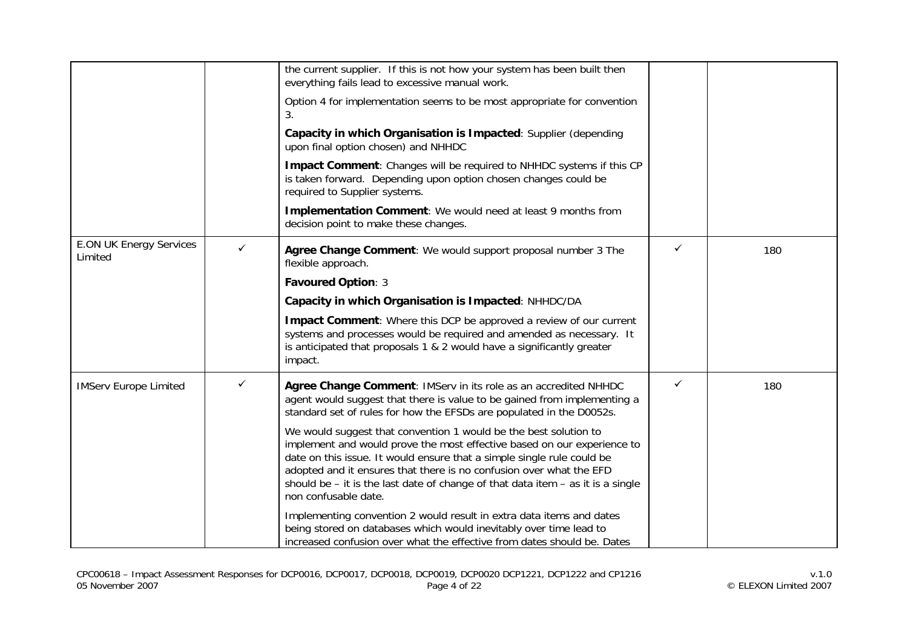|                                           |   | the current supplier. If this is not how your system has been built then<br>everything fails lead to excessive manual work.                                                                                                                                                                                                                                                                                 |   |     |
|-------------------------------------------|---|-------------------------------------------------------------------------------------------------------------------------------------------------------------------------------------------------------------------------------------------------------------------------------------------------------------------------------------------------------------------------------------------------------------|---|-----|
|                                           |   | Option 4 for implementation seems to be most appropriate for convention<br>3.                                                                                                                                                                                                                                                                                                                               |   |     |
|                                           |   | Capacity in which Organisation is Impacted: Supplier (depending<br>upon final option chosen) and NHHDC                                                                                                                                                                                                                                                                                                      |   |     |
|                                           |   | Impact Comment: Changes will be required to NHHDC systems if this CP<br>is taken forward. Depending upon option chosen changes could be<br>required to Supplier systems.                                                                                                                                                                                                                                    |   |     |
|                                           |   | Implementation Comment: We would need at least 9 months from<br>decision point to make these changes.                                                                                                                                                                                                                                                                                                       |   |     |
| <b>E.ON UK Energy Services</b><br>Limited | ✓ | Agree Change Comment: We would support proposal number 3 The<br>flexible approach.                                                                                                                                                                                                                                                                                                                          | ✓ | 180 |
|                                           |   | Favoured Option: 3                                                                                                                                                                                                                                                                                                                                                                                          |   |     |
|                                           |   | Capacity in which Organisation is Impacted: NHHDC/DA                                                                                                                                                                                                                                                                                                                                                        |   |     |
|                                           |   | Impact Comment: Where this DCP be approved a review of our current<br>systems and processes would be required and amended as necessary. It<br>is anticipated that proposals 1 & 2 would have a significantly greater<br>impact.                                                                                                                                                                             |   |     |
| <b>IMServ Europe Limited</b>              | ✓ | Agree Change Comment: IMServ in its role as an accredited NHHDC<br>agent would suggest that there is value to be gained from implementing a<br>standard set of rules for how the EFSDs are populated in the D0052s.                                                                                                                                                                                         | ✓ | 180 |
|                                           |   | We would suggest that convention 1 would be the best solution to<br>implement and would prove the most effective based on our experience to<br>date on this issue. It would ensure that a simple single rule could be<br>adopted and it ensures that there is no confusion over what the EFD<br>should be $-$ it is the last date of change of that data item $-$ as it is a single<br>non confusable date. |   |     |
|                                           |   | Implementing convention 2 would result in extra data items and dates<br>being stored on databases which would inevitably over time lead to<br>increased confusion over what the effective from dates should be. Dates                                                                                                                                                                                       |   |     |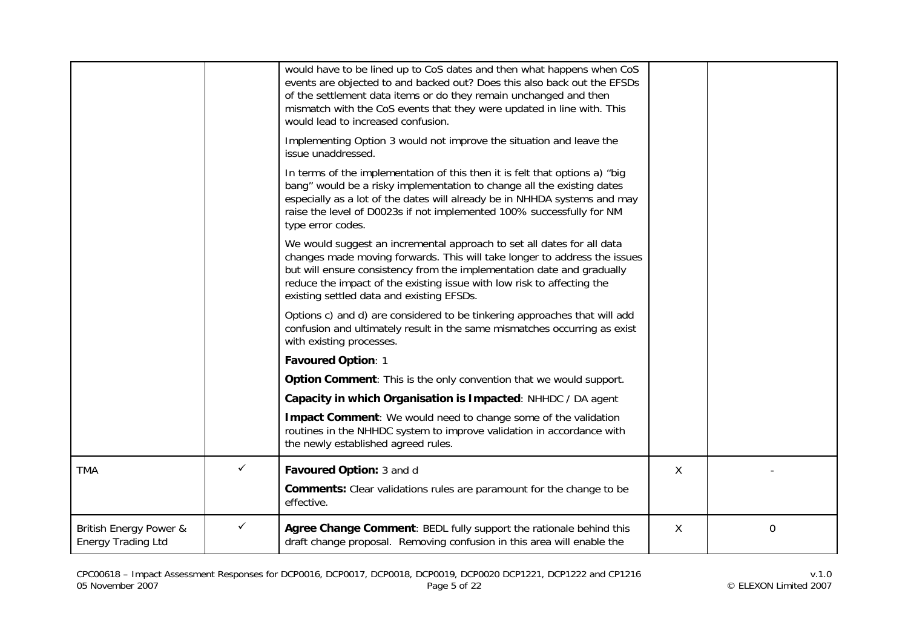|                                                     |              | would have to be lined up to CoS dates and then what happens when CoS<br>events are objected to and backed out? Does this also back out the EFSDs<br>of the settlement data items or do they remain unchanged and then<br>mismatch with the CoS events that they were updated in line with. This<br>would lead to increased confusion.               |   |             |
|-----------------------------------------------------|--------------|------------------------------------------------------------------------------------------------------------------------------------------------------------------------------------------------------------------------------------------------------------------------------------------------------------------------------------------------------|---|-------------|
|                                                     |              | Implementing Option 3 would not improve the situation and leave the<br>issue unaddressed.                                                                                                                                                                                                                                                            |   |             |
|                                                     |              | In terms of the implementation of this then it is felt that options a) "big<br>bang" would be a risky implementation to change all the existing dates<br>especially as a lot of the dates will already be in NHHDA systems and may<br>raise the level of D0023s if not implemented 100% successfully for NM<br>type error codes.                     |   |             |
|                                                     |              | We would suggest an incremental approach to set all dates for all data<br>changes made moving forwards. This will take longer to address the issues<br>but will ensure consistency from the implementation date and gradually<br>reduce the impact of the existing issue with low risk to affecting the<br>existing settled data and existing EFSDs. |   |             |
|                                                     |              | Options c) and d) are considered to be tinkering approaches that will add<br>confusion and ultimately result in the same mismatches occurring as exist<br>with existing processes.                                                                                                                                                                   |   |             |
|                                                     |              | Favoured Option: 1                                                                                                                                                                                                                                                                                                                                   |   |             |
|                                                     |              | Option Comment: This is the only convention that we would support.                                                                                                                                                                                                                                                                                   |   |             |
|                                                     |              | Capacity in which Organisation is Impacted: NHHDC / DA agent                                                                                                                                                                                                                                                                                         |   |             |
|                                                     |              | Impact Comment: We would need to change some of the validation<br>routines in the NHHDC system to improve validation in accordance with<br>the newly established agreed rules.                                                                                                                                                                       |   |             |
| <b>TMA</b>                                          | $\checkmark$ | Favoured Option: 3 and d                                                                                                                                                                                                                                                                                                                             | X |             |
|                                                     |              | <b>Comments:</b> Clear validations rules are paramount for the change to be<br>effective.                                                                                                                                                                                                                                                            |   |             |
| British Energy Power &<br><b>Energy Trading Ltd</b> | $\checkmark$ | Agree Change Comment: BEDL fully support the rationale behind this<br>draft change proposal. Removing confusion in this area will enable the                                                                                                                                                                                                         | X | $\mathbf 0$ |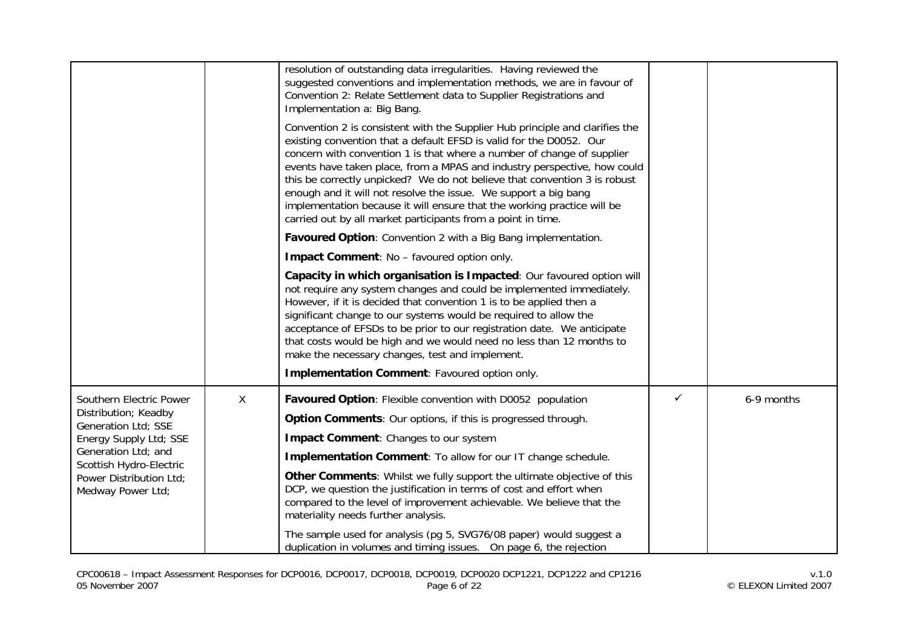|                                                                          |   | resolution of outstanding data irregularities. Having reviewed the<br>suggested conventions and implementation methods, we are in favour of<br>Convention 2: Relate Settlement data to Supplier Registrations and<br>Implementation a: Big Bang.                                                                                                                                                                                                                                                                                                                                                     |              |            |
|--------------------------------------------------------------------------|---|------------------------------------------------------------------------------------------------------------------------------------------------------------------------------------------------------------------------------------------------------------------------------------------------------------------------------------------------------------------------------------------------------------------------------------------------------------------------------------------------------------------------------------------------------------------------------------------------------|--------------|------------|
|                                                                          |   | Convention 2 is consistent with the Supplier Hub principle and clarifies the<br>existing convention that a default EFSD is valid for the D0052. Our<br>concern with convention 1 is that where a number of change of supplier<br>events have taken place, from a MPAS and industry perspective, how could<br>this be correctly unpicked? We do not believe that convention 3 is robust<br>enough and it will not resolve the issue. We support a big bang<br>implementation because it will ensure that the working practice will be<br>carried out by all market participants from a point in time. |              |            |
|                                                                          |   | Favoured Option: Convention 2 with a Big Bang implementation.                                                                                                                                                                                                                                                                                                                                                                                                                                                                                                                                        |              |            |
|                                                                          |   | Impact Comment: No - favoured option only.                                                                                                                                                                                                                                                                                                                                                                                                                                                                                                                                                           |              |            |
|                                                                          |   | Capacity in which organisation is Impacted: Our favoured option will<br>not require any system changes and could be implemented immediately.<br>However, if it is decided that convention 1 is to be applied then a<br>significant change to our systems would be required to allow the<br>acceptance of EFSDs to be prior to our registration date. We anticipate<br>that costs would be high and we would need no less than 12 months to<br>make the necessary changes, test and implement.<br>Implementation Comment: Favoured option only.                                                       |              |            |
| Southern Electric Power                                                  | X | Favoured Option: Flexible convention with D0052 population                                                                                                                                                                                                                                                                                                                                                                                                                                                                                                                                           | $\checkmark$ | 6-9 months |
| Distribution; Keadby<br>Generation Ltd; SSE                              |   | Option Comments: Our options, if this is progressed through.                                                                                                                                                                                                                                                                                                                                                                                                                                                                                                                                         |              |            |
| Energy Supply Ltd; SSE<br>Generation Ltd; and<br>Scottish Hydro-Electric |   | Impact Comment: Changes to our system                                                                                                                                                                                                                                                                                                                                                                                                                                                                                                                                                                |              |            |
|                                                                          |   | <b>Implementation Comment:</b> To allow for our IT change schedule.                                                                                                                                                                                                                                                                                                                                                                                                                                                                                                                                  |              |            |
| Power Distribution Ltd;<br>Medway Power Ltd;                             |   | Other Comments: Whilst we fully support the ultimate objective of this<br>DCP, we question the justification in terms of cost and effort when<br>compared to the level of improvement achievable. We believe that the<br>materiality needs further analysis.                                                                                                                                                                                                                                                                                                                                         |              |            |
|                                                                          |   | The sample used for analysis (pg 5, SVG76/08 paper) would suggest a<br>duplication in volumes and timing issues. On page 6, the rejection                                                                                                                                                                                                                                                                                                                                                                                                                                                            |              |            |

CPC00618 – Impact Assessment Responses for DCP0016, DCP0017, DCP0018, DCP0019, DCP0020 DCP1221, DCP1222 and CP1216 v.1.0 05 November 2007 Page 6 of 22 © ELEXON Limited 2007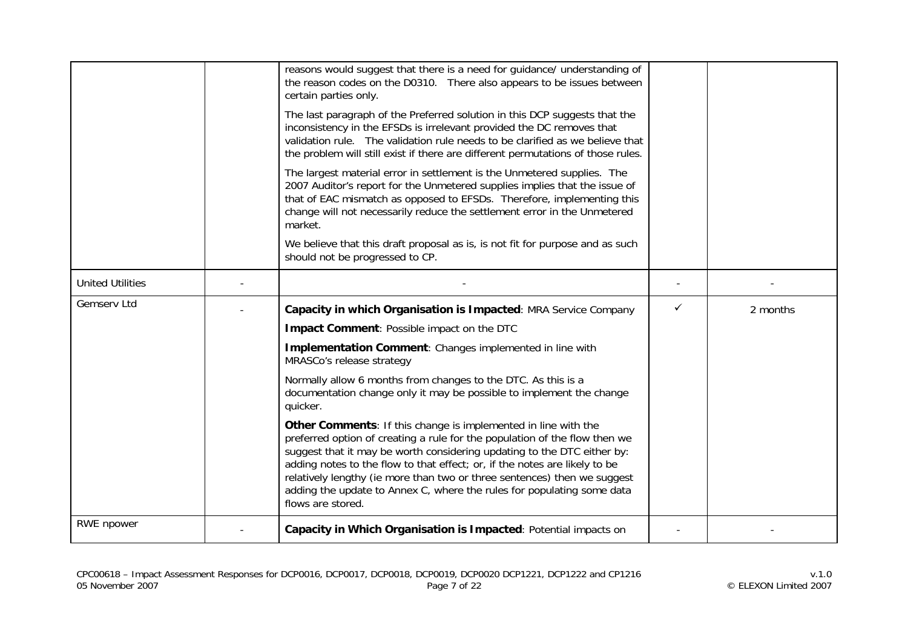|                         | reasons would suggest that there is a need for guidance/ understanding of<br>the reason codes on the D0310. There also appears to be issues between<br>certain parties only.<br>The last paragraph of the Preferred solution in this DCP suggests that the<br>inconsistency in the EFSDs is irrelevant provided the DC removes that<br>validation rule. The validation rule needs to be clarified as we believe that<br>the problem will still exist if there are different permutations of those rules.<br>The largest material error in settlement is the Unmetered supplies. The<br>2007 Auditor's report for the Unmetered supplies implies that the issue of<br>that of EAC mismatch as opposed to EFSDs. Therefore, implementing this<br>change will not necessarily reduce the settlement error in the Unmetered<br>market.<br>We believe that this draft proposal as is, is not fit for purpose and as such<br>should not be progressed to CP. |   |          |
|-------------------------|--------------------------------------------------------------------------------------------------------------------------------------------------------------------------------------------------------------------------------------------------------------------------------------------------------------------------------------------------------------------------------------------------------------------------------------------------------------------------------------------------------------------------------------------------------------------------------------------------------------------------------------------------------------------------------------------------------------------------------------------------------------------------------------------------------------------------------------------------------------------------------------------------------------------------------------------------------|---|----------|
| <b>United Utilities</b> |                                                                                                                                                                                                                                                                                                                                                                                                                                                                                                                                                                                                                                                                                                                                                                                                                                                                                                                                                        |   |          |
| Gemserv Ltd             | Capacity in which Organisation is Impacted: MRA Service Company                                                                                                                                                                                                                                                                                                                                                                                                                                                                                                                                                                                                                                                                                                                                                                                                                                                                                        | ✓ | 2 months |
|                         | Impact Comment: Possible impact on the DTC                                                                                                                                                                                                                                                                                                                                                                                                                                                                                                                                                                                                                                                                                                                                                                                                                                                                                                             |   |          |
|                         | Implementation Comment: Changes implemented in line with<br>MRASCo's release strategy                                                                                                                                                                                                                                                                                                                                                                                                                                                                                                                                                                                                                                                                                                                                                                                                                                                                  |   |          |
|                         | Normally allow 6 months from changes to the DTC. As this is a<br>documentation change only it may be possible to implement the change<br>quicker.                                                                                                                                                                                                                                                                                                                                                                                                                                                                                                                                                                                                                                                                                                                                                                                                      |   |          |
|                         | Other Comments: If this change is implemented in line with the<br>preferred option of creating a rule for the population of the flow then we<br>suggest that it may be worth considering updating to the DTC either by:<br>adding notes to the flow to that effect; or, if the notes are likely to be<br>relatively lengthy (ie more than two or three sentences) then we suggest<br>adding the update to Annex C, where the rules for populating some data<br>flows are stored.                                                                                                                                                                                                                                                                                                                                                                                                                                                                       |   |          |
| RWE npower              | Capacity in Which Organisation is Impacted: Potential impacts on                                                                                                                                                                                                                                                                                                                                                                                                                                                                                                                                                                                                                                                                                                                                                                                                                                                                                       |   |          |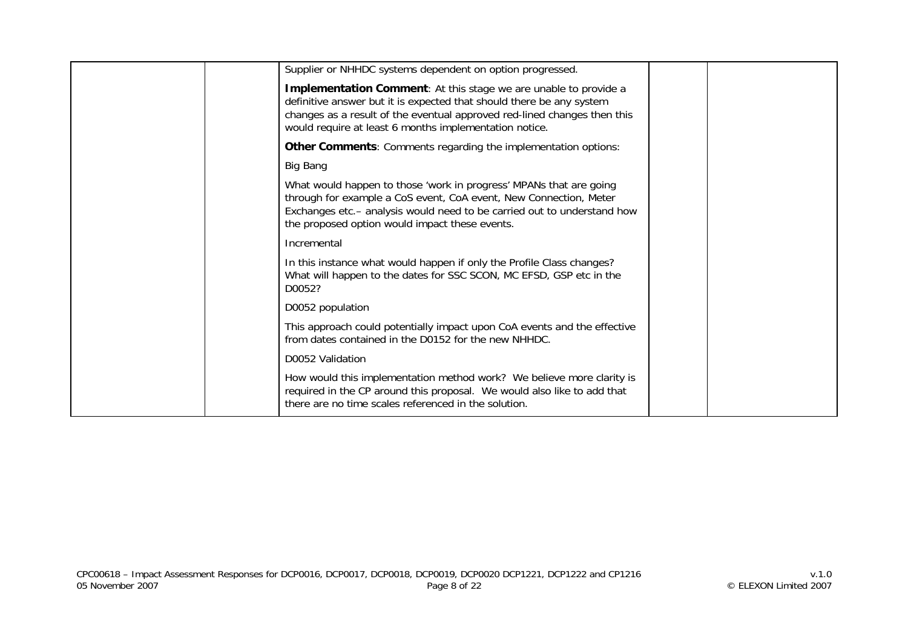| Supplier or NHHDC systems dependent on option progressed.                                                                                                                                                                                                                             |  |
|---------------------------------------------------------------------------------------------------------------------------------------------------------------------------------------------------------------------------------------------------------------------------------------|--|
| <b>Implementation Comment:</b> At this stage we are unable to provide a<br>definitive answer but it is expected that should there be any system<br>changes as a result of the eventual approved red-lined changes then this<br>would require at least 6 months implementation notice. |  |
| Other Comments: Comments regarding the implementation options:                                                                                                                                                                                                                        |  |
| Big Bang                                                                                                                                                                                                                                                                              |  |
| What would happen to those 'work in progress' MPANs that are going<br>through for example a CoS event, CoA event, New Connection, Meter<br>Exchanges etc.- analysis would need to be carried out to understand how<br>the proposed option would impact these events.                  |  |
| Incremental                                                                                                                                                                                                                                                                           |  |
| In this instance what would happen if only the Profile Class changes?<br>What will happen to the dates for SSC SCON, MC EFSD, GSP etc in the<br>D0052?                                                                                                                                |  |
| D0052 population                                                                                                                                                                                                                                                                      |  |
| This approach could potentially impact upon CoA events and the effective<br>from dates contained in the D0152 for the new NHHDC.                                                                                                                                                      |  |
| D0052 Validation                                                                                                                                                                                                                                                                      |  |
| How would this implementation method work? We believe more clarity is<br>required in the CP around this proposal. We would also like to add that<br>there are no time scales referenced in the solution.                                                                              |  |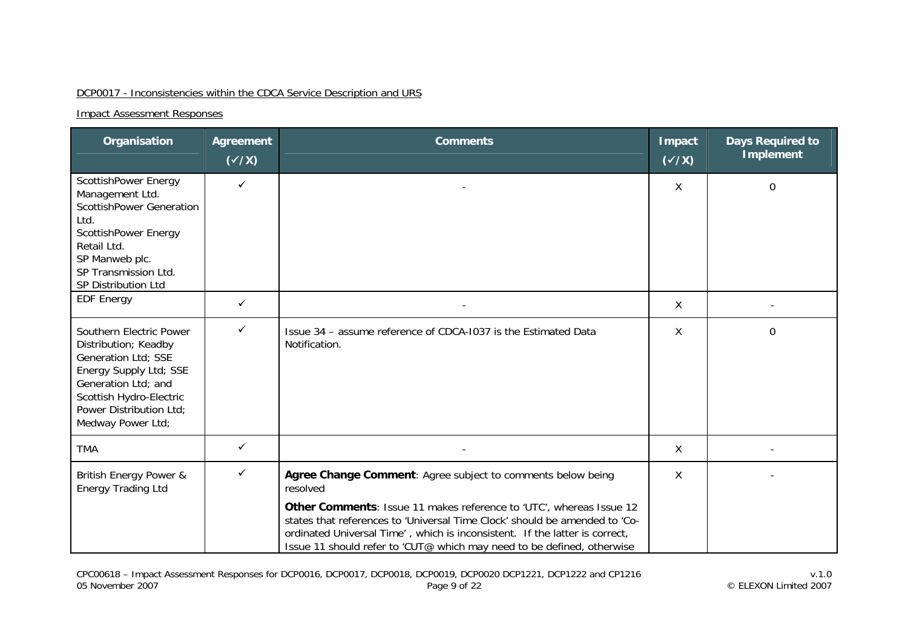### DCP0017 - Inconsistencies within the CDCA Service Description and URS

| Organisation                                                                                                                                                                                       | Agreement<br>$(\checkmark\chi)$ | <b>Comments</b>                                                                                                                                                                                                                                                                                                                                                                       | Impact<br>$(\sqrt{x})$ | <b>Days Required to</b><br><b>Implement</b> |
|----------------------------------------------------------------------------------------------------------------------------------------------------------------------------------------------------|---------------------------------|---------------------------------------------------------------------------------------------------------------------------------------------------------------------------------------------------------------------------------------------------------------------------------------------------------------------------------------------------------------------------------------|------------------------|---------------------------------------------|
| ScottishPower Energy<br>Management Ltd.<br><b>ScottishPower Generation</b><br>Ltd.<br>ScottishPower Energy<br>Retail Ltd.<br>SP Manweb plc.<br>SP Transmission Ltd.<br>SP Distribution Ltd         | ✓                               |                                                                                                                                                                                                                                                                                                                                                                                       | X                      | $\overline{0}$                              |
| <b>EDF Energy</b>                                                                                                                                                                                  | ✓                               |                                                                                                                                                                                                                                                                                                                                                                                       | X                      |                                             |
| Southern Electric Power<br>Distribution; Keadby<br>Generation Ltd; SSE<br>Energy Supply Ltd; SSE<br>Generation Ltd; and<br>Scottish Hydro-Electric<br>Power Distribution Ltd;<br>Medway Power Ltd; | ✓                               | Issue 34 - assume reference of CDCA-1037 is the Estimated Data<br>Notification.                                                                                                                                                                                                                                                                                                       | X                      | $\mathbf 0$                                 |
| <b>TMA</b>                                                                                                                                                                                         | ✓                               |                                                                                                                                                                                                                                                                                                                                                                                       | X                      |                                             |
| British Energy Power &<br><b>Energy Trading Ltd</b>                                                                                                                                                | ✓                               | Agree Change Comment: Agree subject to comments below being<br>resolved<br>Other Comments: Issue 11 makes reference to 'UTC', whereas Issue 12<br>states that references to 'Universal Time Clock' should be amended to 'Co-<br>ordinated Universal Time', which is inconsistent. If the latter is correct,<br>Issue 11 should refer to 'CUT@ which may need to be defined, otherwise | X                      |                                             |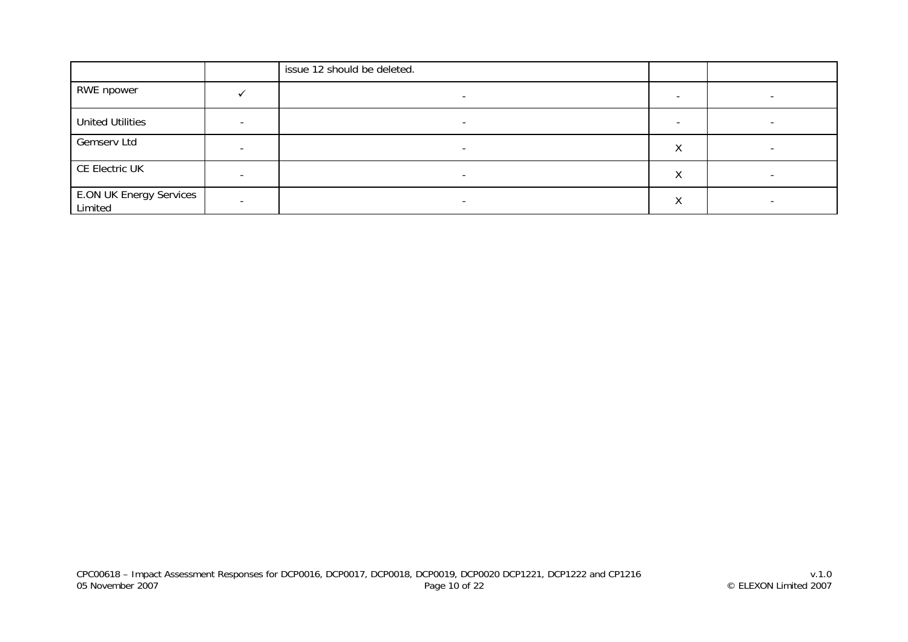|                                           |   | issue 12 should be deleted. |                           |                          |
|-------------------------------------------|---|-----------------------------|---------------------------|--------------------------|
| RWE npower                                |   |                             |                           |                          |
| <b>United Utilities</b>                   | - | $\overline{\phantom{a}}$    | $\overline{\phantom{0}}$  | $\overline{\phantom{a}}$ |
| Gemserv Ltd                               |   | $\overline{\phantom{0}}$    | $\checkmark$<br>$\Lambda$ |                          |
| CE Electric UK                            |   |                             | ν<br>∧                    |                          |
| <b>E.ON UK Energy Services</b><br>Limited |   | $\overline{\phantom{0}}$    | $\lambda$                 |                          |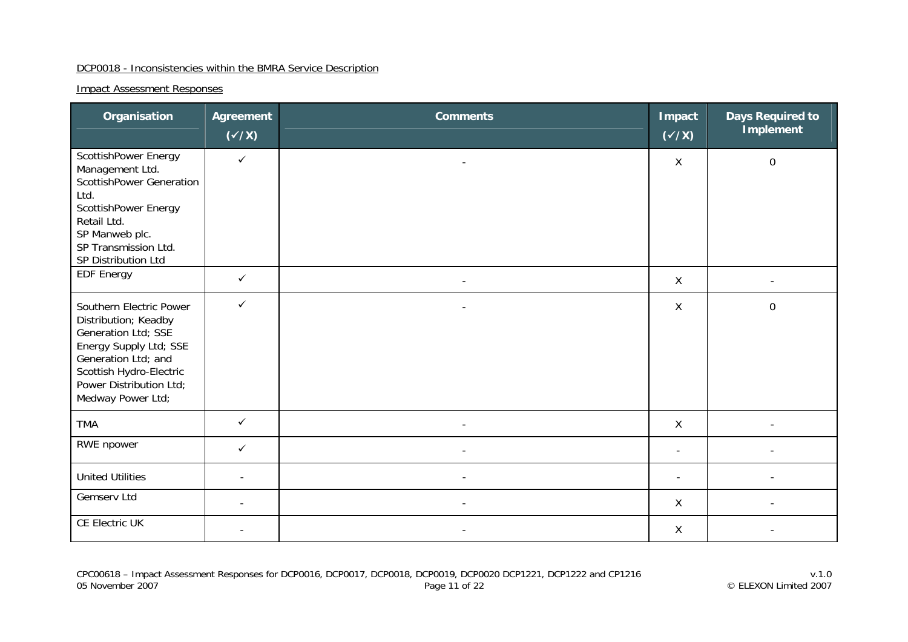#### DCP0018 - Inconsistencies within the BMRA Service Description

| Organisation                                                                                                                                                                                       | Agreement<br>$(\checkmark/\checkmark)$ | <b>Comments</b>          | <b>Impact</b><br>$(\checkmark$ /X) | <b>Days Required to</b><br><b>Implement</b> |
|----------------------------------------------------------------------------------------------------------------------------------------------------------------------------------------------------|----------------------------------------|--------------------------|------------------------------------|---------------------------------------------|
| ScottishPower Energy<br>Management Ltd.<br><b>ScottishPower Generation</b><br>Ltd.<br>ScottishPower Energy<br>Retail Ltd.<br>SP Manweb plc.<br>SP Transmission Ltd.<br>SP Distribution Ltd         | $\checkmark$                           | $\overline{\phantom{a}}$ | X                                  | $\mathbf 0$                                 |
| <b>EDF Energy</b>                                                                                                                                                                                  | $\checkmark$                           | $\overline{\phantom{a}}$ | $\mathsf{X}$                       |                                             |
| Southern Electric Power<br>Distribution; Keadby<br>Generation Ltd; SSE<br>Energy Supply Ltd; SSE<br>Generation Ltd; and<br>Scottish Hydro-Electric<br>Power Distribution Ltd;<br>Medway Power Ltd; | $\checkmark$                           |                          | X                                  | $\mathbf 0$                                 |
| <b>TMA</b>                                                                                                                                                                                         | $\checkmark$                           |                          | X                                  |                                             |
| RWE npower                                                                                                                                                                                         | $\checkmark$                           | $\overline{\phantom{a}}$ | $\overline{\phantom{a}}$           |                                             |
| <b>United Utilities</b>                                                                                                                                                                            |                                        | $\overline{\phantom{a}}$ | $\overline{\phantom{a}}$           |                                             |
| Gemserv Ltd                                                                                                                                                                                        | $\overline{\phantom{a}}$               | $\overline{\phantom{a}}$ | X                                  | $\overline{\phantom{a}}$                    |
| CE Electric UK                                                                                                                                                                                     |                                        |                          | $\sf X$                            |                                             |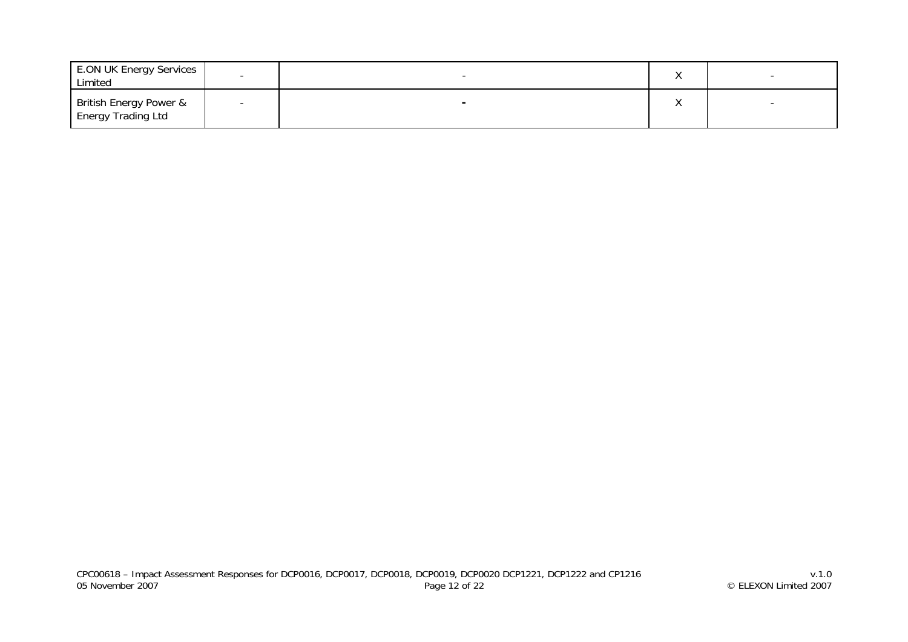| <b>E.ON UK Energy Services</b><br>Limited           |  |  |
|-----------------------------------------------------|--|--|
| British Energy Power &<br><b>Energy Trading Ltd</b> |  |  |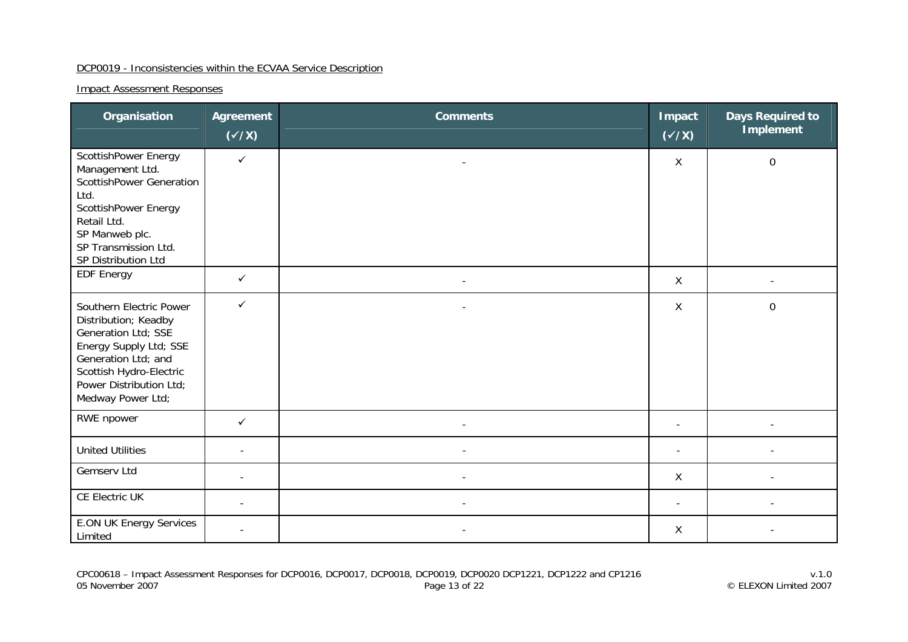#### DCP0019 - Inconsistencies within the ECVAA Service Description

| Organisation                                                                                                                                                                                       | Agreement<br>$(\checkmark/\checkmark)$ | <b>Comments</b>          | <b>Impact</b><br>$(\checkmark\prime\checkmark)$ | <b>Days Required to</b><br><b>Implement</b> |
|----------------------------------------------------------------------------------------------------------------------------------------------------------------------------------------------------|----------------------------------------|--------------------------|-------------------------------------------------|---------------------------------------------|
| ScottishPower Energy<br>Management Ltd.<br><b>ScottishPower Generation</b><br>Ltd.<br>ScottishPower Energy<br>Retail Ltd.<br>SP Manweb plc.<br>SP Transmission Ltd.<br>SP Distribution Ltd         | $\checkmark$                           |                          | X                                               | $\mathbf 0$                                 |
| <b>EDF Energy</b>                                                                                                                                                                                  | $\checkmark$                           | $\overline{\phantom{a}}$ | $\mathsf{X}$                                    |                                             |
| Southern Electric Power<br>Distribution; Keadby<br>Generation Ltd; SSE<br>Energy Supply Ltd; SSE<br>Generation Ltd; and<br>Scottish Hydro-Electric<br>Power Distribution Ltd;<br>Medway Power Ltd; | $\checkmark$                           |                          | X                                               | $\mathbf 0$                                 |
| RWE npower                                                                                                                                                                                         | $\checkmark$                           |                          |                                                 |                                             |
| <b>United Utilities</b>                                                                                                                                                                            |                                        |                          | ÷,                                              |                                             |
| Gemserv Ltd                                                                                                                                                                                        |                                        | $\overline{\phantom{a}}$ | X                                               |                                             |
| CE Electric UK                                                                                                                                                                                     |                                        | $\overline{a}$           | $\blacksquare$                                  |                                             |
| <b>E.ON UK Energy Services</b><br>Limited                                                                                                                                                          |                                        |                          | $\mathsf{X}$                                    |                                             |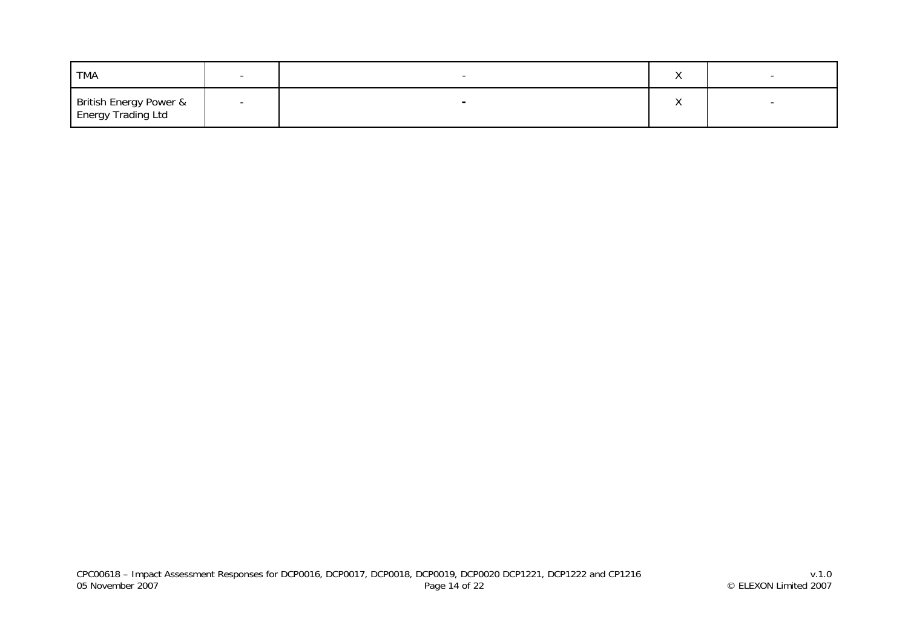| TMA                                          |                          |  |
|----------------------------------------------|--------------------------|--|
| British Energy Power &<br>Energy Trading Ltd | $\overline{\phantom{a}}$ |  |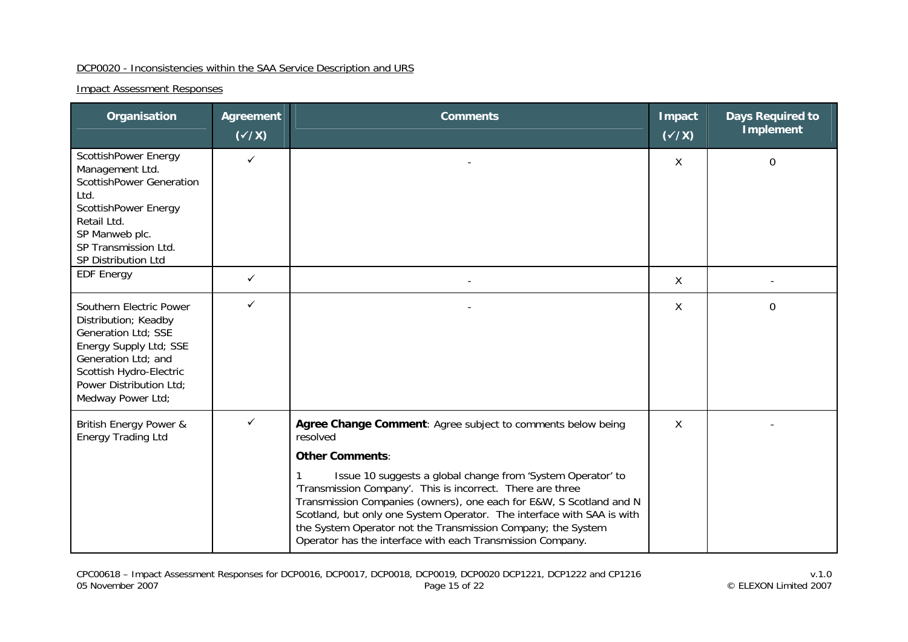#### DCP0020 - Inconsistencies within the SAA Service Description and URS

| Organisation                                                                                                                                                                                       | <b>Agreement</b><br>$(\checkmark\chi)$ | <b>Comments</b>                                                                                                                                                                                                                                                                                                                                                                                          | Impact<br>$(\checkmark\prime\checkmark)$ | <b>Days Required to</b><br><b>Implement</b> |
|----------------------------------------------------------------------------------------------------------------------------------------------------------------------------------------------------|----------------------------------------|----------------------------------------------------------------------------------------------------------------------------------------------------------------------------------------------------------------------------------------------------------------------------------------------------------------------------------------------------------------------------------------------------------|------------------------------------------|---------------------------------------------|
| ScottishPower Energy<br>Management Ltd.<br><b>ScottishPower Generation</b><br>Ltd.<br>ScottishPower Energy<br>Retail Ltd.<br>SP Manweb plc.<br>SP Transmission Ltd.<br>SP Distribution Ltd         | $\checkmark$                           |                                                                                                                                                                                                                                                                                                                                                                                                          | X                                        | $\mathbf 0$                                 |
| <b>EDF Energy</b>                                                                                                                                                                                  | ✓                                      |                                                                                                                                                                                                                                                                                                                                                                                                          | $\sf X$                                  |                                             |
| Southern Electric Power<br>Distribution; Keadby<br>Generation Ltd; SSE<br>Energy Supply Ltd; SSE<br>Generation Ltd; and<br>Scottish Hydro-Electric<br>Power Distribution Ltd;<br>Medway Power Ltd; | $\checkmark$                           |                                                                                                                                                                                                                                                                                                                                                                                                          | $\mathsf{X}$                             | $\Omega$                                    |
| British Energy Power &<br><b>Energy Trading Ltd</b>                                                                                                                                                | $\checkmark$                           | Agree Change Comment: Agree subject to comments below being<br>resolved<br><b>Other Comments:</b>                                                                                                                                                                                                                                                                                                        | X                                        |                                             |
|                                                                                                                                                                                                    |                                        | Issue 10 suggests a global change from 'System Operator' to<br>'Transmission Company'. This is incorrect. There are three<br>Transmission Companies (owners), one each for E&W, S Scotland and N<br>Scotland, but only one System Operator. The interface with SAA is with<br>the System Operator not the Transmission Company; the System<br>Operator has the interface with each Transmission Company. |                                          |                                             |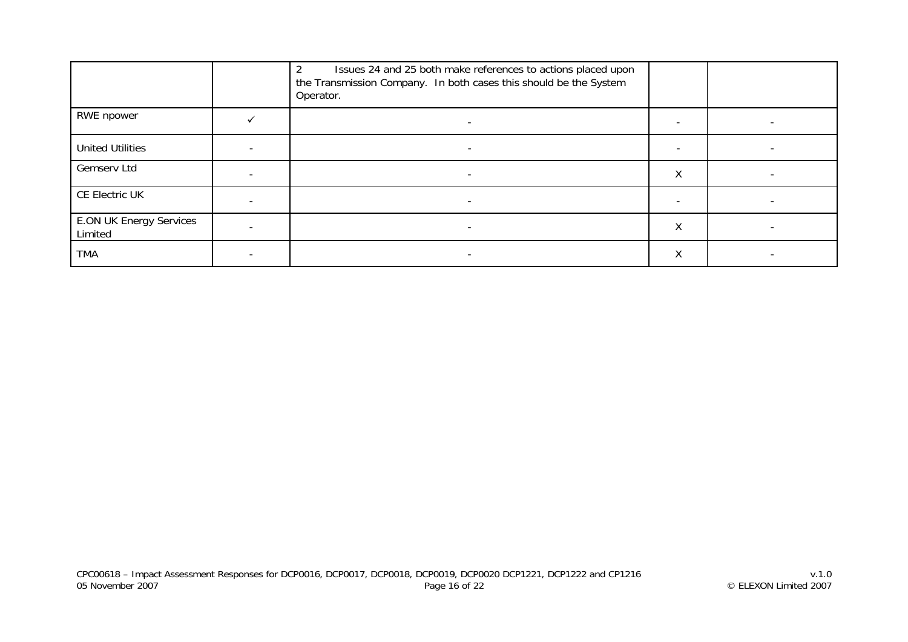|                                           | Issues 24 and 25 both make references to actions placed upon<br>$\overline{2}$<br>the Transmission Company. In both cases this should be the System<br>Operator. |   |                          |
|-------------------------------------------|------------------------------------------------------------------------------------------------------------------------------------------------------------------|---|--------------------------|
| RWE npower                                |                                                                                                                                                                  |   |                          |
| <b>United Utilities</b>                   |                                                                                                                                                                  |   |                          |
| Gemserv Ltd                               | $\overline{\phantom{a}}$                                                                                                                                         | Χ | $\overline{\phantom{0}}$ |
| CE Electric UK                            |                                                                                                                                                                  |   |                          |
| <b>E.ON UK Energy Services</b><br>Limited |                                                                                                                                                                  | Χ |                          |
| TMA                                       |                                                                                                                                                                  | Χ |                          |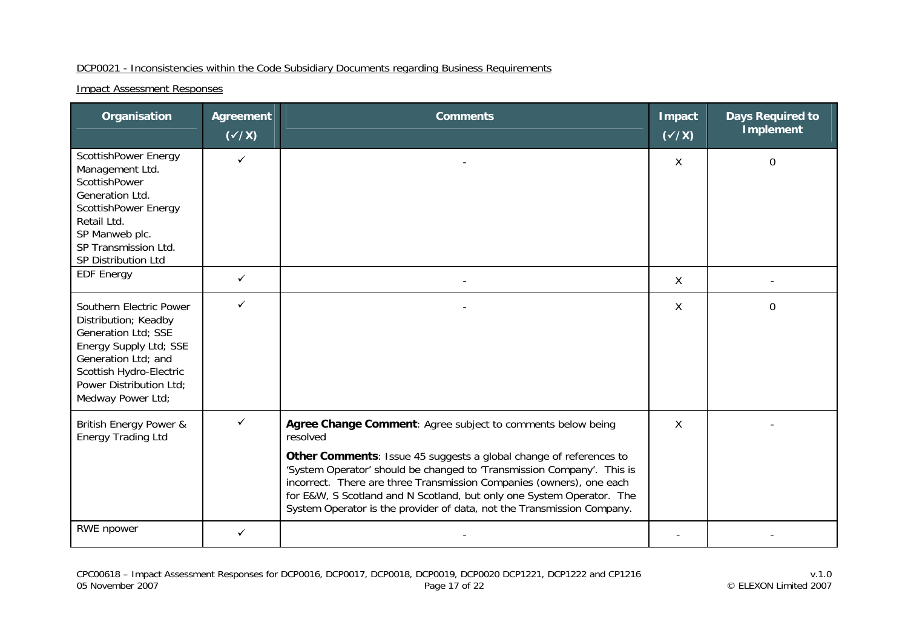## DCP0021 - Inconsistencies within the Code Subsidiary Documents regarding Business Requirements

| Organisation                                                                                                                                                                                       | <b>Agreement</b><br>$(\sqrt{x})$ | <b>Comments</b>                                                                                                                                                                                                                                                                                                                                                                                                                                    | <b>Impact</b><br>$(\sqrt{x})$ | <b>Days Required to</b><br><b>Implement</b> |
|----------------------------------------------------------------------------------------------------------------------------------------------------------------------------------------------------|----------------------------------|----------------------------------------------------------------------------------------------------------------------------------------------------------------------------------------------------------------------------------------------------------------------------------------------------------------------------------------------------------------------------------------------------------------------------------------------------|-------------------------------|---------------------------------------------|
| ScottishPower Energy<br>Management Ltd.<br>ScottishPower<br>Generation Ltd.<br>ScottishPower Energy<br>Retail Ltd.<br>SP Manweb plc.<br>SP Transmission Ltd.<br>SP Distribution Ltd                | $\checkmark$                     |                                                                                                                                                                                                                                                                                                                                                                                                                                                    | X                             | 0                                           |
| <b>EDF Energy</b>                                                                                                                                                                                  | $\checkmark$                     |                                                                                                                                                                                                                                                                                                                                                                                                                                                    | $\sf X$                       |                                             |
| Southern Electric Power<br>Distribution; Keadby<br>Generation Ltd; SSE<br>Energy Supply Ltd; SSE<br>Generation Ltd; and<br>Scottish Hydro-Electric<br>Power Distribution Ltd;<br>Medway Power Ltd; | $\checkmark$                     |                                                                                                                                                                                                                                                                                                                                                                                                                                                    | X                             | $\Omega$                                    |
| British Energy Power &<br><b>Energy Trading Ltd</b>                                                                                                                                                | $\checkmark$                     | Agree Change Comment: Agree subject to comments below being<br>resolved<br>Other Comments: Issue 45 suggests a global change of references to<br>'System Operator' should be changed to 'Transmission Company'. This is<br>incorrect. There are three Transmission Companies (owners), one each<br>for E&W, S Scotland and N Scotland, but only one System Operator. The<br>System Operator is the provider of data, not the Transmission Company. | X                             |                                             |
| <b>RWE</b> npower                                                                                                                                                                                  | $\checkmark$                     |                                                                                                                                                                                                                                                                                                                                                                                                                                                    |                               |                                             |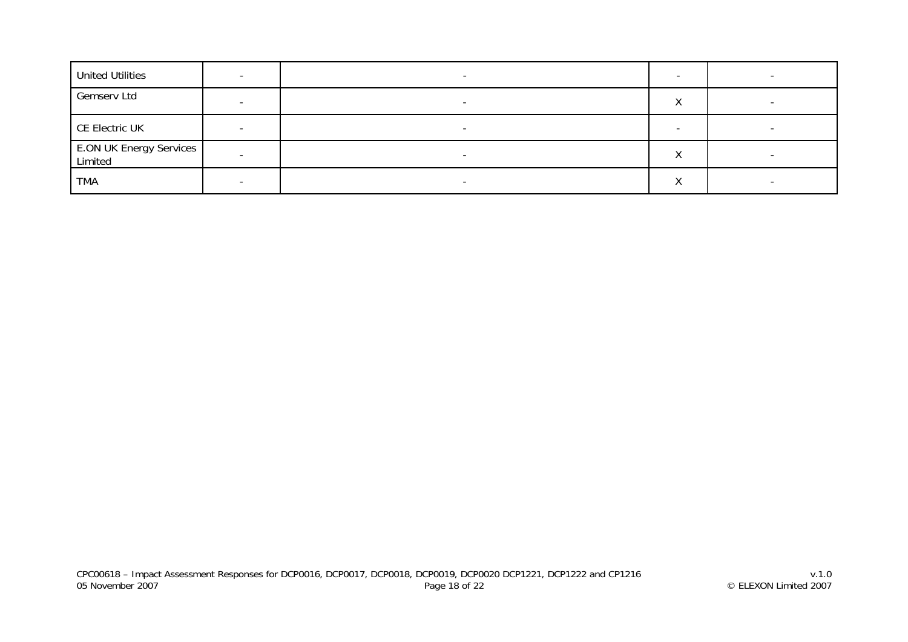| <b>United Utilities</b> |  |   |  |
|-------------------------|--|---|--|
| Gemserv Ltd             |  |   |  |
| CE Electric UK          |  |   |  |
| E.ON UK Energy Services |  | ◠ |  |
| <b>TMA</b>              |  |   |  |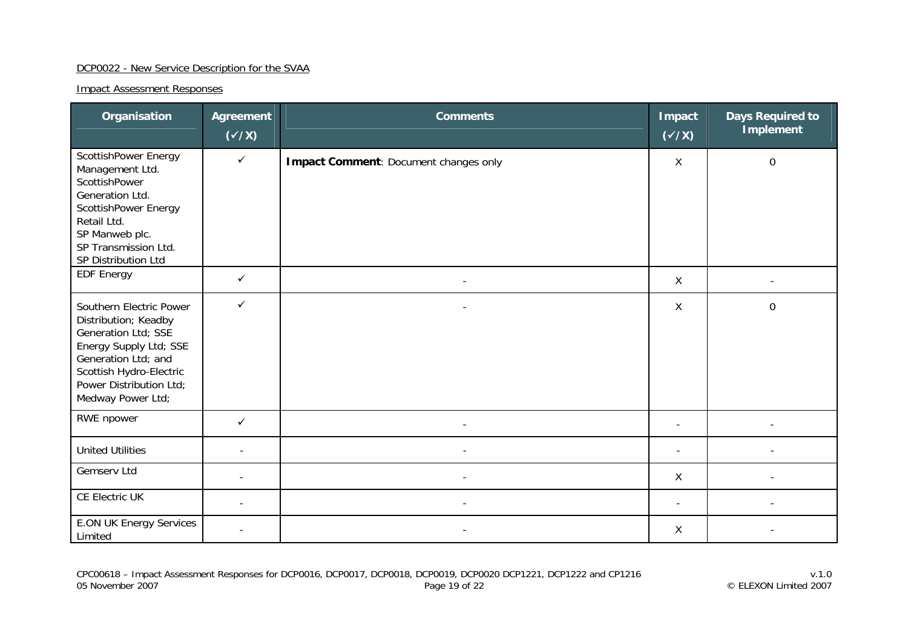#### DCP0022 - New Service Description for the SVAA

| Organisation                                                                                                                                                                                       | <b>Agreement</b><br>$(\checkmark$ /X) | <b>Comments</b>                       | <b>Impact</b><br>$(\checkmark/\checkmark)$ | <b>Days Required to</b><br><b>Implement</b> |
|----------------------------------------------------------------------------------------------------------------------------------------------------------------------------------------------------|---------------------------------------|---------------------------------------|--------------------------------------------|---------------------------------------------|
| ScottishPower Energy<br>Management Ltd.<br>ScottishPower<br>Generation Ltd.<br>ScottishPower Energy<br>Retail Ltd.<br>SP Manweb plc.<br>SP Transmission Ltd.<br>SP Distribution Ltd                | $\checkmark$                          | Impact Comment: Document changes only | X                                          | $\mathbf 0$                                 |
| <b>EDF Energy</b>                                                                                                                                                                                  | $\checkmark$                          | $\overline{\phantom{a}}$              | X                                          |                                             |
| Southern Electric Power<br>Distribution; Keadby<br>Generation Ltd; SSE<br>Energy Supply Ltd; SSE<br>Generation Ltd; and<br>Scottish Hydro-Electric<br>Power Distribution Ltd;<br>Medway Power Ltd; | $\checkmark$                          |                                       | $\mathsf{X}$                               | $\mathbf 0$                                 |
| RWE npower                                                                                                                                                                                         | ✓                                     |                                       |                                            |                                             |
| <b>United Utilities</b>                                                                                                                                                                            |                                       |                                       |                                            |                                             |
| Gemserv Ltd                                                                                                                                                                                        |                                       |                                       | X                                          |                                             |
| CE Electric UK                                                                                                                                                                                     |                                       |                                       |                                            |                                             |
| <b>E.ON UK Energy Services</b><br>Limited                                                                                                                                                          |                                       |                                       | X                                          |                                             |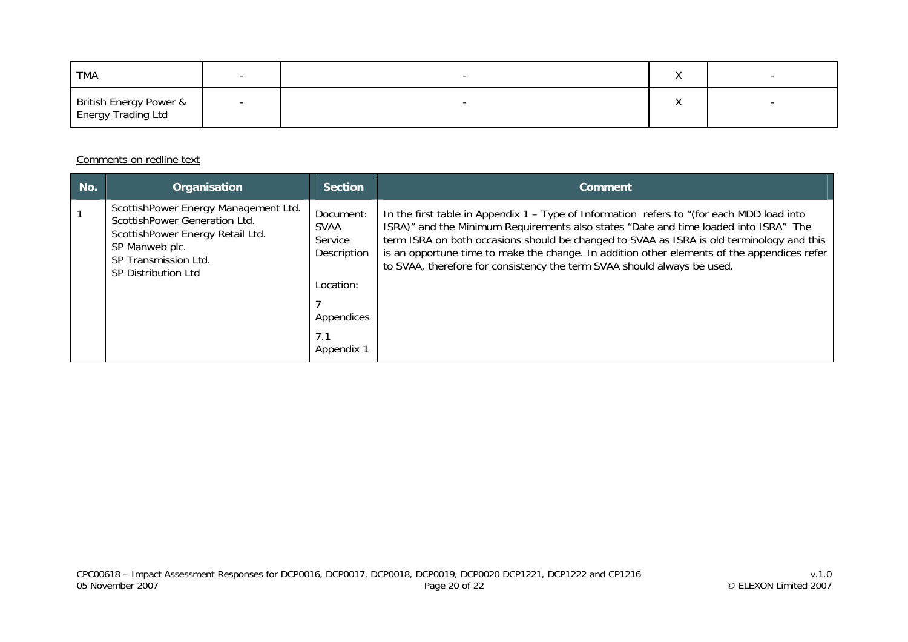| TMA                                                      |  | $\lambda$ |  |
|----------------------------------------------------------|--|-----------|--|
| <b>British Energy Power &amp;<br/>Energy Trading Ltd</b> |  |           |  |

#### Comments on redline text

| No. | <b>Organisation</b>                                                                                                                                                               | <b>Section</b>                                                                | Comment                                                                                                                                                                                                                                                                                                                                                                                                                                                    |
|-----|-----------------------------------------------------------------------------------------------------------------------------------------------------------------------------------|-------------------------------------------------------------------------------|------------------------------------------------------------------------------------------------------------------------------------------------------------------------------------------------------------------------------------------------------------------------------------------------------------------------------------------------------------------------------------------------------------------------------------------------------------|
|     | ScottishPower Energy Management Ltd.<br>ScottishPower Generation Ltd.<br>ScottishPower Energy Retail Ltd.<br>SP Manweb plc.<br>SP Transmission Ltd.<br><b>SP Distribution Ltd</b> | Document:<br>SVAA<br>Service<br>Description<br>Location:<br>Appendices<br>7.1 | In the first table in Appendix $1 - Type$ of Information refers to "(for each MDD load into<br>ISRA)" and the Minimum Requirements also states "Date and time loaded into ISRA" The<br>term ISRA on both occasions should be changed to SVAA as ISRA is old terminology and this<br>is an opportune time to make the change. In addition other elements of the appendices refer<br>to SVAA, therefore for consistency the term SVAA should always be used. |
|     |                                                                                                                                                                                   | Appendix 1                                                                    |                                                                                                                                                                                                                                                                                                                                                                                                                                                            |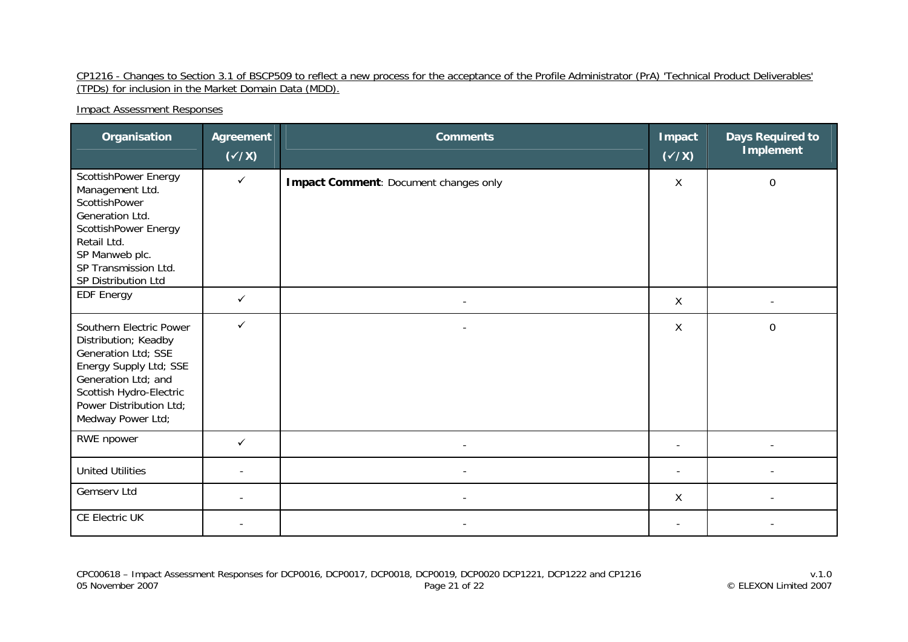#### CP1216 - Changes to Section 3.1 of BSCP509 to reflect a new process for the acceptance of the Profile Administrator (PrA) 'Technical Product Deliverables' (TPDs) for inclusion in the Market Domain Data (MDD).

| Organisation                                                                                                                                                                                       | <b>Agreement</b><br>$(\checkmark$ /X) | <b>Comments</b>                       | <b>Impact</b><br>$(\checkmark\chi)$ | <b>Days Required to</b><br><b>Implement</b> |
|----------------------------------------------------------------------------------------------------------------------------------------------------------------------------------------------------|---------------------------------------|---------------------------------------|-------------------------------------|---------------------------------------------|
| ScottishPower Energy<br>Management Ltd.<br>ScottishPower<br>Generation Ltd.<br>ScottishPower Energy<br>Retail Ltd.<br>SP Manweb plc.<br>SP Transmission Ltd.<br>SP Distribution Ltd                | $\checkmark$                          | Impact Comment: Document changes only | X                                   | $\boldsymbol{0}$                            |
| <b>EDF Energy</b>                                                                                                                                                                                  | ✓                                     | $\overline{\phantom{a}}$              | X                                   |                                             |
| Southern Electric Power<br>Distribution; Keadby<br>Generation Ltd; SSE<br>Energy Supply Ltd; SSE<br>Generation Ltd; and<br>Scottish Hydro-Electric<br>Power Distribution Ltd;<br>Medway Power Ltd; | ✓                                     |                                       | $\mathsf{X}$                        | $\mathbf 0$                                 |
| RWE npower                                                                                                                                                                                         | ✓                                     |                                       |                                     |                                             |
| <b>United Utilities</b>                                                                                                                                                                            |                                       |                                       |                                     |                                             |
| Gemserv Ltd                                                                                                                                                                                        |                                       |                                       | X                                   |                                             |
| CE Electric UK                                                                                                                                                                                     |                                       |                                       | $\overline{\phantom{a}}$            |                                             |